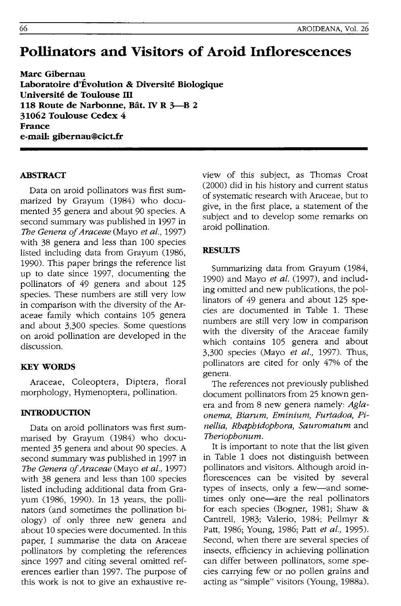# **Pollinators and Visitors of Aroid Inflorescences**

**Marc Gibernau Laboratoire d'Evolution & Diversite Biologique Universite de Toulouse m 118 Route de Narbonne, B§t. IV R 3-B 2 31062 Toulouse Cedex** 4 **France e-mail: gibernau@cict.fr** 

# **ABSTRACf**

Data on aroid pollinators was first summarized by Grayum (1984) who documented 35 genera and about 90 species. A second summary was published in 1997 in The *Genera of Araceae* (Mayo *et al., 1997)*  with 38 genera and less than 100 species listed including data from Grayum (1986, 1990). This paper brings the reference list up to date since 1997, documenting the pollinators of 49 genera and about 125 species. These numbers are still very low in comparison with the diversity of the Araceae family which contains 105 genera and about 3,300 species. Some questions on aroid pollination are developed in the discussion.

## **KEYWORDS**

Araceae, Coleoptera, Diptera, floral morphology, Hymenoptera, pollination.

#### **INTRODUCTION**

Data on aroid pollinators was first summarised by Grayum (1984) who documented 35 genera and about 90 species. A second summary was published in 1997 in The *Genera of Araceae* (Mayo *et at., 1997)*  with 38 genera and less than 100 species listed including additional data from Grayum (1986, 1990). In 13 years, the pollinators (and sometimes the pollination biology) of only three new genera and about 10 species were documented. In this paper, I summarise the data on Araceae pollinators by completing the references since 1997 and citing several omitted references earlier than 1997. The purpose of this work is not to give an exhaustive review of this subject, as Thomas Croat (2000) did in his history and current status of systematic research with Araceae, but to give, in the first place, a statement of the subject and to develop some remarks on aroid pollination.

#### **RESULTS**

Summarizing data from Grayum (1984, 1990) and Mayo *et al.* (1997), and including omitted and new publications, the pollinators of 49 genera and about 125 species are documented in Table 1. These numbers are still very low in comparison with the diversity of the Araceae family which contains 105 genera and about 3,300 species (Mayo *et at.,* 1997). Thus, pollinators are cited for only 47% of the genera.

The references not previously published document pollinators from 25 known genera and from 8 new genera namely: *Aglaonema, Biarum, Eminium, Furtadoa, Pinellia, Rhaphidophora, Sauromatum* and *Theriophonum.* 

It is important to note that the list given in Table 1 does not distinguish between pollinators and visitors. Although aroid inflorescences can be visited by several types of insects, only a few-and sometimes only one-are the real pollinators for each species (Bogner, 1981; Shaw & Cantrell, 1983; Valerio, 1984; Pellmyr & Patt, 1986; Young, 1986; Patt *et at., 1995).*  Second, when there are several species of insects, efficiency in achieving pollination can differ between pollinators, some species carrying few or no pollen grains and acting as "simple" visitors (Young, 1988a).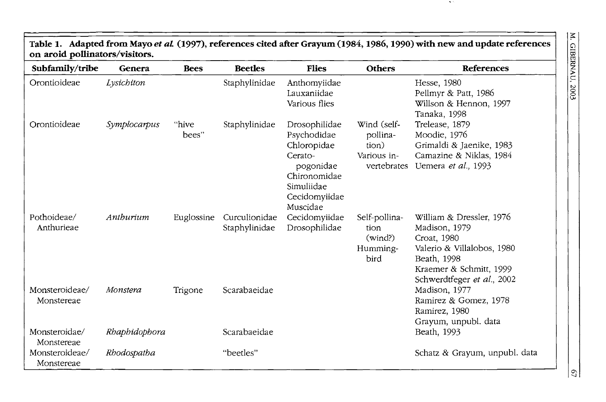# **Table 1. Adapted from Mayo et aL (1997), references cited after Grayum (1984, 1986, 1990) with new and update references on aroid pollinators/visitors.**

| Subfamily/tribe              | Genera        | <b>Bees</b>    | <b>Beetles</b>                 | <b>Flies</b>                                                                                                                   | <b>Others</b>                                                  | <b>References</b>                                                                                                                                              |
|------------------------------|---------------|----------------|--------------------------------|--------------------------------------------------------------------------------------------------------------------------------|----------------------------------------------------------------|----------------------------------------------------------------------------------------------------------------------------------------------------------------|
| Orontioideae                 | Lysichiton    |                | Staphylinidae                  | Anthomyiidae<br>Lauxaniidae<br>Various flies                                                                                   |                                                                | Hesse, 1980<br>Pellmyr & Patt, 1986<br>Willson & Hennon, 1997<br>Tanaka, 1998                                                                                  |
| Orontioideae                 | Symplocarpus  | "hive<br>bees" | Staphylinidae                  | Drosophilidae<br>Psychodidae<br>Chloropidae<br>Cerato-<br>pogonidae<br>Chironomidae<br>Simuliidae<br>Cecidomyiidae<br>Muscidae | Wind (self-<br>pollina-<br>tion)<br>Various in-<br>vertebrates | Trelease, 1879<br>Moodie, 1976<br>Grimaldi & Jaenike, 1983<br>Camazine & Niklas, 1984<br>Uemera et al., 1993                                                   |
| Pothoideae/<br>Anthurieae    | Anthurium     | Euglossine     | Curculionidae<br>Staphylinidae | Cecidomyiidae<br>Drosophilidae                                                                                                 | Self-pollina-<br>tion<br>(wind?)<br>Humming-<br>bird           | William & Dressler, 1976<br>Madison, 1979<br>Croat, 1980<br>Valerio & Villalobos, 1980<br>Beath, 1998<br>Kraemer & Schmitt, 1999<br>Schwerdtfeger et al., 2002 |
| Monsteroideae/<br>Monstereae | Monstera      | Trigone        | Scarabaeidae                   |                                                                                                                                |                                                                | Madison, 1977<br>Ramirez & Gomez, 1978<br>Ramirez, 1980<br>Grayum, unpubl. data                                                                                |
| Monsteroidae/<br>Monstereae  | Rhaphidophora |                | Scarabaeidae                   |                                                                                                                                |                                                                | Beath, 1993                                                                                                                                                    |
| Monsteroideae/<br>Monstereae | Rhodospatha   |                | "beetles"                      |                                                                                                                                |                                                                | Schatz & Grayum, unpubl. data                                                                                                                                  |

. .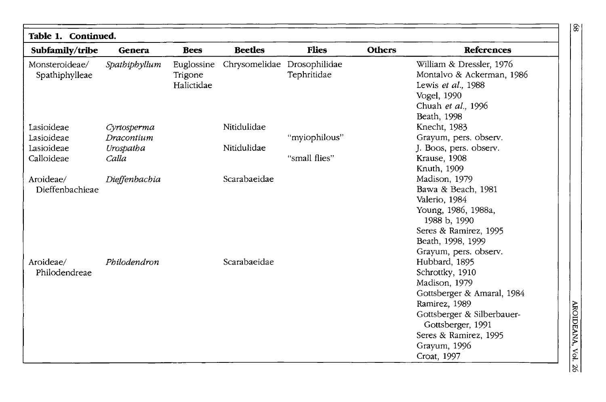| Table 1. Continued.              |               |                                     |                             |               |               |                                                                                                                                                                                                             |
|----------------------------------|---------------|-------------------------------------|-----------------------------|---------------|---------------|-------------------------------------------------------------------------------------------------------------------------------------------------------------------------------------------------------------|
| Subfamily/tribe                  | Genera        | <b>Bees</b>                         | <b>Beetles</b>              | <b>Flies</b>  | <b>Others</b> | <b>References</b>                                                                                                                                                                                           |
| Monsteroideae/<br>Spathiphylleae | Spathiphyllum | Euglossine<br>Trigone<br>Halictidae | Chrysomelidae Drosophilidae | Tephritidae   |               | William & Dressler, 1976<br>Montalvo & Ackerman, 1986<br>Lewis et al., 1988<br>Vogel, 1990<br>Chuah et al., 1996<br>Beath, 1998                                                                             |
| Lasioideae                       | Cyrtosperma   |                                     | Nitidulidae                 |               |               | Knecht, 1983                                                                                                                                                                                                |
| Lasioideae                       | Dracontium    |                                     |                             | "myiophilous" |               | Grayum, pers. observ.                                                                                                                                                                                       |
| Lasioideae                       | Urospatha     |                                     | Nitidulidae                 |               |               | J. Boos, pers. observ.                                                                                                                                                                                      |
| Calloideae                       | Calla         |                                     |                             | "small flies" |               | Krause, 1908<br>Knuth, 1909                                                                                                                                                                                 |
| Aroideae/<br>Dieffenbachieae     | Dieffenbachia |                                     | Scarabaeidae                |               |               | Madison, 1979<br>Bawa & Beach, 1981<br>Valerio, 1984<br>Young, 1986, 1988a,<br>1988 b, 1990<br>Seres & Ramirez, 1995<br>Beath, 1998, 1999<br>Grayum, pers. observ.                                          |
| Aroideae/<br>Philodendreae       | Philodendron  |                                     | Scarabaeidae                |               |               | Hubbard, 1895<br>Schrottky, 1910<br>Madison, 1979<br>Gottsberger & Amaral, 1984<br>Ramirez, 1989<br>Gottsberger & Silberbauer-<br>Gottsberger, 1991<br>Seres & Ramirez, 1995<br>Grayum, 1996<br>Croat, 1997 |

AROIDEANA, Vol. 26

 $\,$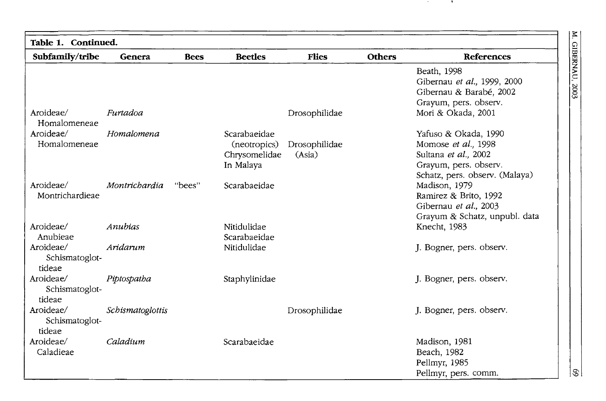**М. GIBERNAU, 2003** 

**STATE** 

| Table 1. Continued.<br>Subfamily/tribe | Genera           | <b>Bees</b> | <b>Beetles</b> | <b>Flies</b>  | <b>Others</b> | References                                       |
|----------------------------------------|------------------|-------------|----------------|---------------|---------------|--------------------------------------------------|
|                                        |                  |             |                |               |               |                                                  |
|                                        |                  |             |                |               |               | Beath, 1998                                      |
|                                        |                  |             |                |               |               | Gibernau et al., 1999, 2000                      |
|                                        |                  |             |                |               |               | Gibernau & Barabé, 2002<br>Grayum, pers. observ. |
| Aroideae/<br>Homalomeneae              | Furtadoa         |             |                | Drosophilidae |               | Mori & Okada, 2001                               |
| Aroideae/                              | Homalomena       |             | Scarabaeidae   |               |               | Yafuso & Okada, 1990                             |
| Homalomeneae                           |                  |             | (neotropics)   | Drosophilidae |               | Momose et al., 1998                              |
|                                        |                  |             | Chrysomelidae  | (Asia)        |               | Sultana et al., 2002                             |
|                                        |                  |             | In Malaya      |               |               | Grayum, pers. observ.                            |
|                                        |                  |             |                |               |               | Schatz, pers. observ. (Malaya)                   |
| Aroideae/                              | Montrichardia    | "bees"      | Scarabaeidae   |               |               | Madison, 1979                                    |
| Montrichardieae                        |                  |             |                |               |               | Ramirez & Brito, 1992                            |
|                                        |                  |             |                |               |               | Gibernau et al., 2003                            |
|                                        |                  |             |                |               |               | Grayum & Schatz, unpubl. data                    |
| Aroideae/                              | Anubias          |             | Nitidulidae    |               |               | Knecht, 1983                                     |
| Anubieae                               |                  |             | Scarabaeidae   |               |               |                                                  |
| Aroideae/                              | Aridarum         |             | Nitidulidae    |               |               | J. Bogner, pers. observ.                         |
| Schismatoglot-                         |                  |             |                |               |               |                                                  |
| tideae                                 |                  |             |                |               |               |                                                  |
| Aroideae/                              | Piptospatha      |             | Staphylinidae  |               |               | J. Bogner, pers. observ.                         |
| Schismatoglot-                         |                  |             |                |               |               |                                                  |
| tideae                                 |                  |             |                |               |               |                                                  |
| Aroideae/                              | Schismatoglottis |             |                | Drosophilidae |               | J. Bogner, pers. observ.                         |
| Schismatoglot-                         |                  |             |                |               |               |                                                  |
| tideae                                 |                  |             |                |               |               |                                                  |
| Aroideae/                              | Caladium         |             | Scarabaeidae   |               |               | Madison, 1981                                    |
| Caladieae                              |                  |             |                |               |               | Beach, 1982                                      |
|                                        |                  |             |                |               |               | Pellmyr, 1985                                    |
|                                        |                  |             |                |               |               | Pellmyr, pers. comm.                             |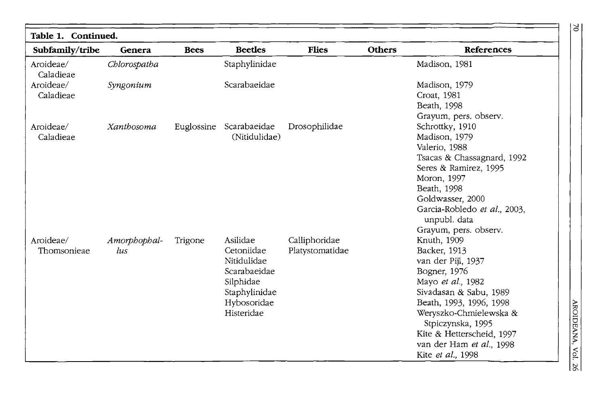| Table 1. Continued.<br>Subfamily/tribe | Genera              | <b>Bees</b> | <b>Beetles</b>                                                                                                   | <b>Flies</b>                     | <b>Others</b> | References                                                                                                                                                                                                                                                               |
|----------------------------------------|---------------------|-------------|------------------------------------------------------------------------------------------------------------------|----------------------------------|---------------|--------------------------------------------------------------------------------------------------------------------------------------------------------------------------------------------------------------------------------------------------------------------------|
| Aroideae/<br>Caladieae                 | Chlorospatha        |             | Staphylinidae                                                                                                    |                                  |               | Madison, 1981                                                                                                                                                                                                                                                            |
| Aroideae/<br>Caladieae                 | Syngonium           |             | Scarabaeidae                                                                                                     |                                  |               | Madison, 1979<br>Croat, 1981<br>Beath, 1998<br>Grayum, pers. observ.                                                                                                                                                                                                     |
| Aroideae/<br>Caladieae                 | Xanthosoma          | Euglossine  | Scarabaeidae<br>(Nitidulidae)                                                                                    | Drosophilidae                    |               | Schrottky, 1910<br>Madison, 1979<br>Valerio, 1988<br>Tsacas & Chassagnard, 1992<br>Seres & Ramirez, 1995<br>Moron, 1997<br>Beath, 1998<br>Goldwasser, 2000<br>Garcia-Robledo et al., 2003,<br>unpubl. data<br>Grayum, pers. observ.                                      |
| Aroideae/<br>Thomsonieae               | Amorphophal-<br>lus | Trigone     | Asilidae<br>Cetoniidae<br>Nitidulidae<br>Scarabaeidae<br>Silphidae<br>Staphylinidae<br>Hybosoridae<br>Histeridae | Calliphoridae<br>Platystomatidae |               | Knuth, 1909<br>Backer, 1913<br>van der Pijl, 1937<br>Bogner, 1976<br>Mayo et al., 1982<br>Sivadasan & Sabu, 1989<br>Beath, 1993, 1996, 1998<br>Weryszko-Chmielewska &<br>Stpiczynska, 1995<br>Kite & Hetterscheid, 1997<br>van der Ham et al., 1998<br>Kite et al., 1998 |

 $\geq$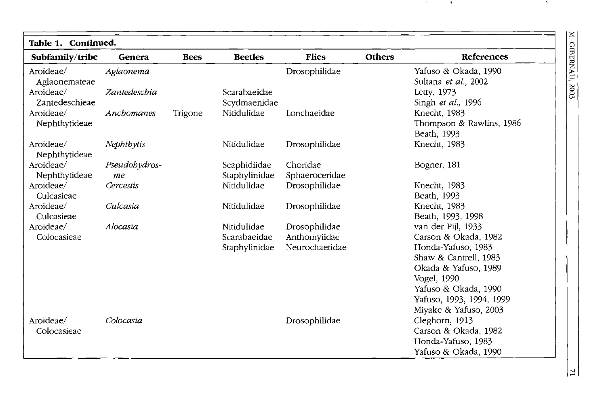M. GIBERNAU, 2003

. .

| Table 1. Continued.<br>Subfamily/tribe | Genera        | <b>Bees</b> | <b>Beetles</b> | <b>Flies</b>   | <b>Others</b> | <b>References</b>        |
|----------------------------------------|---------------|-------------|----------------|----------------|---------------|--------------------------|
| Aroideae/                              | Aglaonema     |             |                | Drosophilidae  |               | Yafuso & Okada, 1990     |
| Aglaonemateae                          |               |             |                |                |               | Sultana et al., 2002     |
| Aroideae/                              | Zantedeschia  |             | Scarabaeidae   |                |               | Letty, 1973              |
| Zantedeschieae                         |               |             | Scydmaenidae   |                |               | Singh et al., 1996       |
| Aroideae/                              | Anchomanes    | Trigone     | Nitidulidae    | Lonchaeidae    |               | Knecht, 1983             |
| Nephthytideae                          |               |             |                |                |               | Thompson & Rawlins, 1986 |
|                                        |               |             |                |                |               | Beath, 1993              |
| Aroideae/                              | Nephthytis    |             | Nitidulidae    | Drosophilidae  |               | Knecht, 1983             |
| Nephthytideae                          |               |             |                |                |               |                          |
| Aroideae/                              | Pseudobydros- |             | Scaphidiidae   | Choridae       |               | Bogner, 181              |
| Nephthytideae                          | me            |             | Staphylinidae  | Sphaeroceridae |               |                          |
| Aroideae/                              | Cercestis     |             | Nitidulidae    | Drosophilidae  |               | Knecht, 1983             |
| Culcasieae                             |               |             |                |                |               | Beath, 1993              |
| Aroideae/                              | Culcasia      |             | Nitidulidae    | Drosophilidae  |               | Knecht, 1983             |
| Culcasieae                             |               |             |                |                |               | Beath, 1993, 1998        |
| Aroideae/                              | Alocasia      |             | Nitidulidae    | Drosophilidae  |               | van der Pijl, 1933       |
| Colocasieae                            |               |             | Scarabaeidae   | Anthomyiidae   |               | Carson & Okada, 1982     |
|                                        |               |             | Staphylinidae  | Neurochaetidae |               | Honda-Yafuso, 1983       |
|                                        |               |             |                |                |               | Shaw & Cantrell, 1983    |
|                                        |               |             |                |                |               | Okada & Yafuso, 1989     |
|                                        |               |             |                |                |               | Vogel, 1990              |
|                                        |               |             |                |                |               | Yafuso & Okada, 1990     |
|                                        |               |             |                |                |               | Yafuso, 1993, 1994, 1999 |
|                                        |               |             |                |                |               | Miyake & Yafuso, 2003    |
| Aroideae/                              | Colocasia     |             |                | Drosophilidae  |               | Cleghorn, 1913           |
| Colocasieae                            |               |             |                |                |               | Carson & Okada, 1982     |
|                                        |               |             |                |                |               | Honda-Yafuso, 1983       |
|                                        |               |             |                |                |               | Yafuso & Okada, 1990     |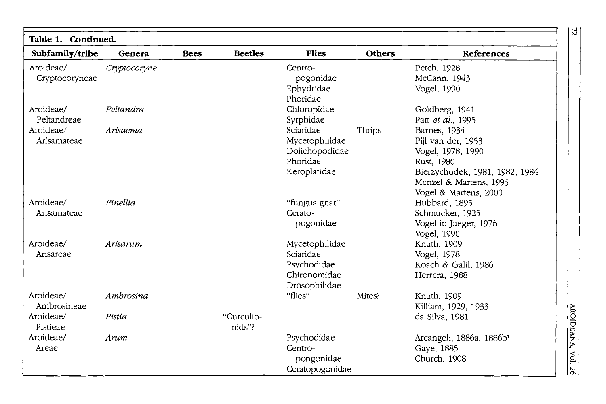| Table 1. Continued.         |              |             |                      |                                                                             |               |                                                                                                                                                            |
|-----------------------------|--------------|-------------|----------------------|-----------------------------------------------------------------------------|---------------|------------------------------------------------------------------------------------------------------------------------------------------------------------|
| Subfamily/tribe             | Genera       | <b>Bees</b> | <b>Beetles</b>       | <b>Flies</b>                                                                | <b>Others</b> | References                                                                                                                                                 |
| Aroideae/<br>Cryptocoryneae | Cryptocoryne |             |                      | Centro-<br>pogonidae<br>Ephydridae<br>Phoridae                              |               | Petch, 1928<br>McCann, 1943<br>Vogel, 1990                                                                                                                 |
| Aroideae/<br>Peltandreae    | Peltandra    |             |                      | Chloropidae<br>Syrphidae                                                    |               | Goldberg, 1941<br>Patt et al., 1995                                                                                                                        |
| Aroideae/<br>Arisamateae    | Arisaema     |             |                      | Sciaridae<br>Mycetophilidae<br>Dolichopodidae<br>Phoridae<br>Keroplatidae   | Thrips        | Barnes, 1934<br>Pijl van der, 1953<br>Vogel, 1978, 1990<br>Rust, 1980<br>Bierzychudek, 1981, 1982, 1984<br>Menzel & Martens, 1995<br>Vogel & Martens, 2000 |
| Aroideae/<br>Arisamateae    | Pinellia     |             |                      | "fungus gnat"<br>Cerato-<br>pogonidae                                       |               | Hubbard, 1895<br>Schmucker, 1925<br>Vogel in Jaeger, 1976<br>Vogel, 1990                                                                                   |
| Aroideae/<br>Arisareae      | Arisarum     |             |                      | Mycetophilidae<br>Sciaridae<br>Psychodidae<br>Chironomidae<br>Drosophilidae |               | Knuth, 1909<br>Vogel, 1978<br>Koach & Galil, 1986<br>Herrera, 1988                                                                                         |
| Aroideae/<br>Ambrosineae    | Ambrosina    |             |                      | "flies"                                                                     | Mites?        | Knuth, 1909<br>Killiam, 1929, 1933                                                                                                                         |
| Aroideae/<br>Pistieae       | Pistia       |             | "Curculio-<br>nids"? |                                                                             |               | da Silva, 1981                                                                                                                                             |
| Aroideae/<br>Areae          | Arum         |             |                      | Psychodidae<br>Centro-<br>pongonidae<br>Ceratopogonidae                     |               | Arcangeli, 1886a, 1886b <sup>1</sup><br>Gaye, 1885<br>Church, 1908                                                                                         |

 $|z|$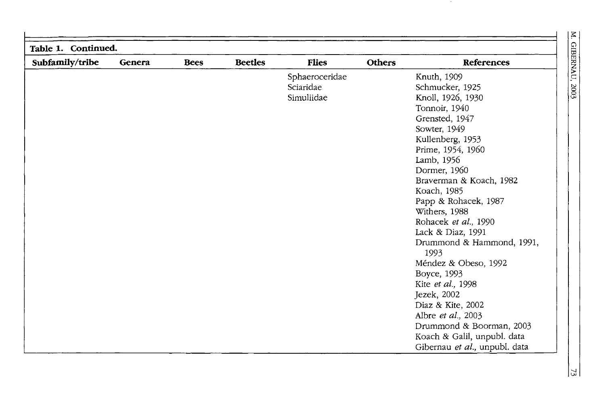$2003$ 

| Table 1. Continued. |        |             |                |                |               |                                   |
|---------------------|--------|-------------|----------------|----------------|---------------|-----------------------------------|
| Subfamily/tribe     | Genera | <b>Bees</b> | <b>Beetles</b> | <b>Flies</b>   | <b>Others</b> | References                        |
|                     |        |             |                | Sphaeroceridae |               | Knuth, 1909                       |
|                     |        |             |                | Sciaridae      |               | Schmucker, 1925                   |
|                     |        |             |                | Simuliidae     |               | Knoll, 1926, 1930                 |
|                     |        |             |                |                |               | Tonnoir, 1940                     |
|                     |        |             |                |                |               | Grensted, 1947                    |
|                     |        |             |                |                |               | Sowter, 1949                      |
|                     |        |             |                |                |               | Kullenberg, 1953                  |
|                     |        |             |                |                |               | Prime, 1954, 1960                 |
|                     |        |             |                |                |               | Lamb, 1956                        |
|                     |        |             |                |                |               | Dormer, 1960                      |
|                     |        |             |                |                |               | Braverman & Koach, 1982           |
|                     |        |             |                |                |               | Koach, 1985                       |
|                     |        |             |                |                |               | Papp & Rohacek, 1987              |
|                     |        |             |                |                |               | Withers, 1988                     |
|                     |        |             |                |                |               | Rohacek et al., 1990              |
|                     |        |             |                |                |               | Lack & Diaz, 1991                 |
|                     |        |             |                |                |               | Drummond & Hammond, 1991,<br>1993 |
|                     |        |             |                |                |               | Méndez & Obeso, 1992              |
|                     |        |             |                |                |               | Boyce, 1993                       |
|                     |        |             |                |                |               | Kite et al., 1998                 |
|                     |        |             |                |                |               | Jezek, 2002                       |
|                     |        |             |                |                |               | Diaz & Kite, 2002                 |
|                     |        |             |                |                |               | Albre et al., 2003                |
|                     |        |             |                |                |               | Drummond & Boorman, 2003          |
|                     |        |             |                |                |               | Koach & Galil, unpubl. data       |
|                     |        |             |                |                |               | Gibernau et al., unpubl. data     |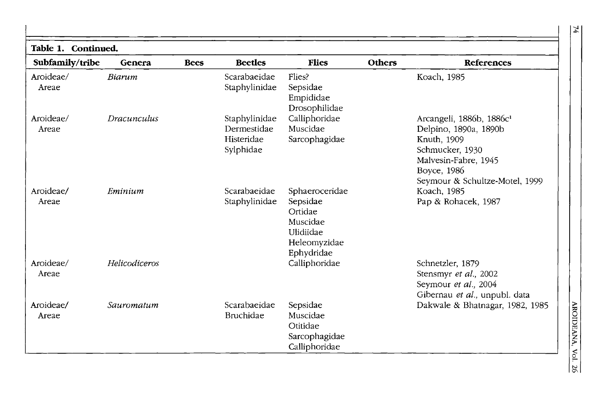| Table 1. Continued. |               |             |                                                         |                                                                                              |               |                                                                                                                                                                          |
|---------------------|---------------|-------------|---------------------------------------------------------|----------------------------------------------------------------------------------------------|---------------|--------------------------------------------------------------------------------------------------------------------------------------------------------------------------|
| Subfamily/tribe     | Genera        | <b>Bees</b> | <b>Beetles</b>                                          | <b>Flies</b>                                                                                 | <b>Others</b> | References                                                                                                                                                               |
| Aroideae/<br>Areae  | Biarum        |             | Scarabaeidae<br>Staphylinidae                           | Flies?<br>Sepsidae<br>Empididae<br>Drosophilidae                                             |               | Koach, 1985                                                                                                                                                              |
| Aroideae/<br>Areae  | Dracunculus   |             | Staphylinidae<br>Dermestidae<br>Histeridae<br>Sylphidae | Calliphoridae<br>Muscidae<br>Sarcophagidae                                                   |               | Arcangeli, 1886b, 1886c <sup>1</sup><br>Delpino, 1890a, 1890b<br>Knuth, 1909<br>Schmucker, 1930<br>Malvesin-Fabre, 1945<br>Boyce, 1986<br>Seymour & Schultze-Motel, 1999 |
| Aroideae/<br>Areae  | Eminium       |             | Scarabaeidae<br>Staphylinidae                           | Sphaeroceridae<br>Sepsidae<br>Ortidae<br>Muscidae<br>Ulidiidae<br>Heleomyzidae<br>Ephydridae |               | Koach, 1985<br>Pap & Rohacek, 1987                                                                                                                                       |
| Aroideae/<br>Areae  | Helicodiceros |             |                                                         | Calliphoridae                                                                                |               | Schnetzler, 1879<br>Stensmyr et al., 2002<br>Seymour et al., 2004<br>Gibernau et al., unpubl. data                                                                       |
| Aroideae/<br>Areae  | Sauromatum    |             | Scarabaeidae<br>Bruchidae                               | Sepsidae<br>Muscidae<br>Otitidae<br>Sarcophagidae<br>Calliphoridae                           |               | Dakwale & Bhatnagar, 1982, 1985                                                                                                                                          |

 $\overline{74}$ 

AROIDEANA, Vol. 26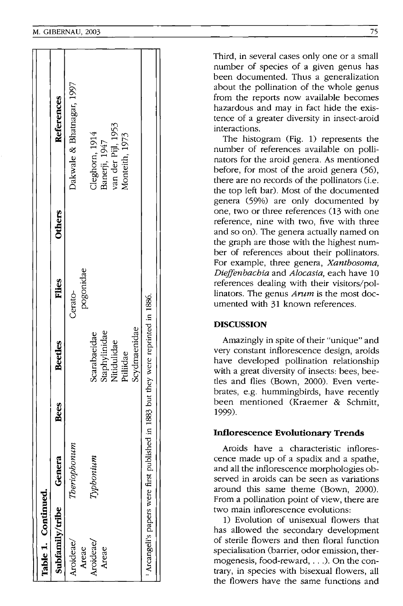| Table 1. Continued.              |              |      |                                                   |              |               |                                 |  |
|----------------------------------|--------------|------|---------------------------------------------------|--------------|---------------|---------------------------------|--|
| Subfamily/tribe                  | Genera       | Bees | <b>Beetles</b>                                    | <b>Flies</b> | <b>Others</b> | References                      |  |
| Aroideae/                        | Theriophonum |      |                                                   | Cerato-      |               | Dakwale & Bhatnagar, 1997       |  |
| Areae                            |              |      |                                                   | pogonidae    |               |                                 |  |
| Aroideae/                        | Typhonium    |      | Scarabaeidae                                      |              |               |                                 |  |
| Areae                            |              |      | Staphylinidae<br>Nitidulidae                      |              |               | Cleghorn, 1914<br>Banerji, 1947 |  |
|                                  |              |      |                                                   |              |               | van der Pijl, 1953              |  |
|                                  |              |      | Ptiliidae                                         |              |               | Monteith, 1973                  |  |
|                                  |              |      | Scydmaenidae                                      |              |               |                                 |  |
| Arcangeli's papers were first pi |              |      | ublished in 1883 but they were reprinted in 1886. |              |               |                                 |  |
|                                  |              |      |                                                   |              |               |                                 |  |

Third, in several cases only one or a small number of species of a given genus has been documented. Thus a generalization about the pollination of the whole genus from the reports now available becomes hazardous and may in fact hide the existence of a greater diversity in insect-aroid interactions.

The histogram (Fig. 1) represents the number of references available on pollinators for the aroid genera. As mentioned before, for most of the aroid genera (56), there are no records of the pollinators (i.e. the top left bar). Most of the documented genera (59%) are only documented by one, two or three references (13 with one reference, nine with two, five with three and so on). The genera actually named on the graph are those with the highest number of references about their pollinators. For example, three genera, *Xanthosoma, Dir::ffenbachia* and *A!ocasia,* each have 10 references dealing with their visitors/pollinators. The genus *Arum* is the most documented with 31 known references.

# **DISCUSSION**

Amazingly in spite of their "unique" and very constant inflorescence design, aroids have developed pollination relationship with a great diversity of insects: bees, beetles and flies (Bown, 2000). Even vertebrates, e.g. hummingbirds, have recently been mentioned (Kraemer & Schmitt, 1999).

# **Inflorescence Evolutionary Trends**

Aroids have a characteristic inflorescence made up of a spadix and a spathe, and all the inflorescence morphologies observed in aroids can be seen as variations around this same theme (Bown, 2000). From a pollination point of view, there are two main inflorescence evolutions:

1) Evolution of unisexual flowers that has allowed the secondary development of sterile flowers and then floral function specialisation (barrier, odor emission, thermogenesis, food-reward, .. .). On the contrary, in species with bisexual flowers, all the flowers have the same functions and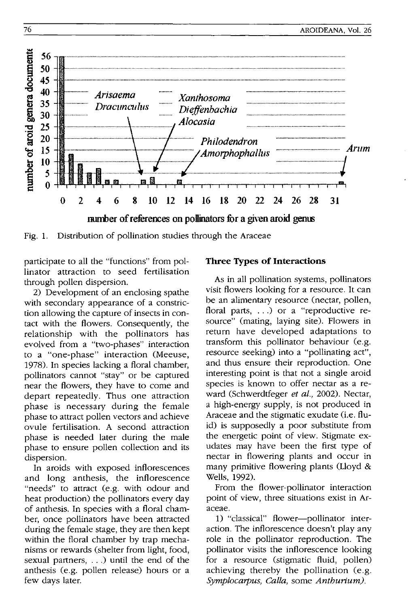

Fig. 1. Distribution of pollination studies through the Araceae

participate to all the "functions" from pollinator attraction to seed fertilisation through pollen dispersion.

2) Development of an enclosing spathe with secondary appearance of a constriction allowing the capture of insects in contact with the flowers. Consequently, the relationship with the pollinators has evolved from a "two-phases" interaction to a "one-phase" interaction (Meeuse, 1978). In species lacking a floral chamber, pollinators cannot "stay" or be captured near the flowers, they have to come and depart repeatedly. Thus one attraction phase is necessary during the female phase to attract pollen vectors and achieve ovule fertilisation. A second attraction phase is needed later during the male phase to ensure pollen collection and its dispersion.

In aroids with exposed inflorescences and long anthesis, the inflorescence "needs" to attract (e.g. with odour and heat production) the pollinators every day of anthesis. In species with a floral chamber, once pollinators have been attracted during the female stage, they are then kept within the floral chamber by trap mechanisms or rewards (shelter from light, food, sexual partners, ...) until the end of the anthesis (e.g. pollen release) hours or a few days later.

# **Three Types of Interactions**

As in all pollination systems, pollinators visit flowers looking for a resource. It can be an alimentary resource (nectar, pollen, floral parts, ...) or a "reproductive resource" (mating, laying site). Flowers in return have developed adaptations to transform this pollinator behaviour (e.g. resource seeking) into a "pollinating act", and thus ensure their reproduction. One interesting point is that not a single aroid species is known to offer nectar as a reward (Schwerdtfeger et al., 2002). Nectar, a high-energy supply, is not produced in Araceae and the stigmatic exudate (i.e. fluid) is supposedly a poor substitute from the energetic point of view. Stigmate exudates may have been the first type of nectar in flowering plants and occur in many primitive flowering plants (Lloyd & Wells, 1992).

From the flower-pollinator interaction point of view, three situations exist in Araceae.

1) "classical" flower-pollinator interaction. The inflorescence doesn't play any role in the pollinator reproduction. The pollinator visits the inflorescence looking for a resource (stigmatic fluid, pollen) achieving thereby the pollination (e.g. Symplocarpus, Calla, some Anthurium).

76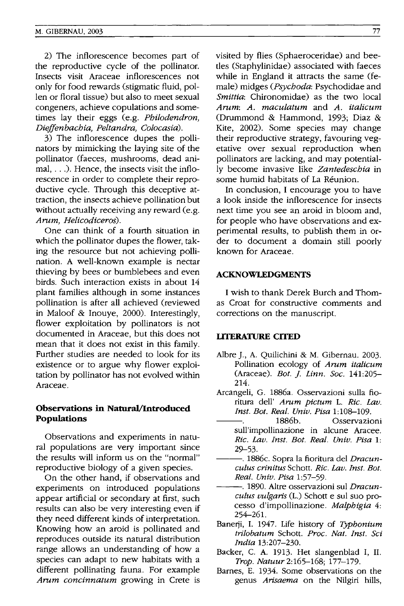2) The inflorescence becomes part of the reproductive cycle of the pollinator. Insects visit Araceae inflorescences not only for food rewards (stigmatic fluid, pollen or floral tissue) but also to meet sexual congeners, achieve copulations and sometimes lay their eggs (e.g. *Philodendron, Dieffenbachia, Peltandra, Colocasia).* 

3) The inflorescence dupes the pollinators by mimicking the laying site of the pollinator (faeces, mushrooms, dead animal, ... ). Hence, the insects visit the inflorescence in order to complete their reproductive cycle. Through this deceptive attraction, the insects achieve pollination but without actually receiving any reward (e.g. *Arum, Helicodiceros).* 

One can think of a fourth situation in which the pollinator dupes the flower, taking the resource but not achieving pollination. A well-known example is nectar thieving by bees or bumblebees and even birds. Such interaction exists in about 14 plant families although in some instances pollination is after all achieved (reviewed in Maloof & Inouye, 2000). Interestingly, flower exploitation by pollinators is not documented in Araceae, but this does not mean that it does not exist in this family. Further studies are needed to look for its existence or to argue why flower exploitation by pollinator has not evolved within Araceae.

## **Observations in Natural/Introduced Populations**

Observations and experiments in natural populations are very important since the results will inform us on the "normal" reproductive biology of a given species.

On the other hand, if observations and experiments on introduced populations appear artificial or secondary at first, such results can also be very interesting even if they need different kinds of interpretation. Knowing how an aroid is pollinated and reproduces outside its natural distribution range allows an understanding of how a species can adapt to new habitats with a different pollinating fauna. For example *Arum concinnatum* growing in Crete is

visited by flies (Sphaeroceridae) and beetles (Staphylinidae) associated with faeces while in England it attracts the same (female) midges *(Psychoda:* Psychodidae and *Smittia:* Chironomidae) as the two local *Arum: A. maculatum* and *A. italicum*  (Drummond & Hammond, 1993; Diaz & Kite, 2002). Some species may change their reproductive strategy, favouring vegetative over sexual reproduction when pollinators are lacking, and may potentially become invasive like *Zantedeschia* in some humid habitats of La Reunion.

In conclusion, I encourage you to have a look inside the inflorescence for insects next time you see an aroid in bloom and, for people who have observations and experimental results, to publish them in order to document a domain still poorly known for Araceae.

#### **ACKNOWLEDGMENTS**

I wish to thank Derek Burch and Thomas Croat for constructive comments and corrections on the manuscript.

#### **liTERATURE CITED**

- Albre ]., A. Quilichini & M. Gibernau. 2003. Pollination ecology of *Arum italicum*  (Araceae). *Bot.* ]. *Linn. Soc. 141:205-* 214.
- Arcangeli, G. 1886a. Osservazioni sulla fioritura dell' *Arum pictum* L. *Ric. Lav. Inst. Bot. Real. Univ. Pisa 1:108-109.*
- 1886b. Osservazioni sull'impollinazione in alcune Aracee. *Ric. Lav. Inst. Bot. Real. Univ. Pisa 1:*  29-53.
- ---. 1886c. Sopra la fioritura del *Dracunculus crinitus* Schott. *Ric. Lav. Inst. Bot. Real. Univ. Pisa 1:57-59.*
- ---. 1890. Altre osservazioni suI *Dracunculus vulgaris* (L.) Schott e suI suo processo d'impollinazione. *Malphigia 4:*  254-261.
- Banerji, 1. 1947. Life history of *Typbonium trilobatum* Schott. *Proc. Nat. Inst. Sci India 13:207-230.*
- Backer, C. A. 1913. Het slangenblad **I,** II. *Trap. Natuur2:165-168; 177-179.*
- Barnes, E. 1934. Some observations on the genus *Arisaema* on the Nilgiri hills,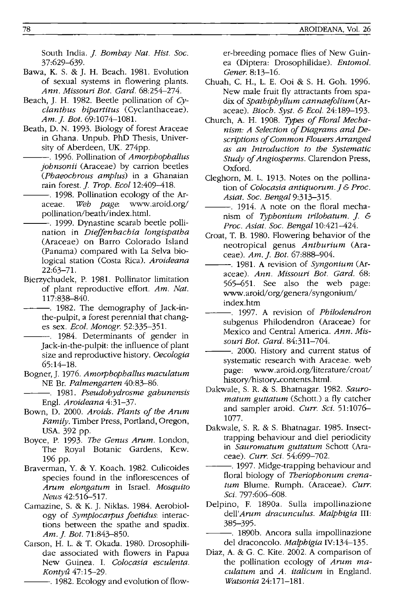South India. *J. Bombay Nat. Hist. Soc.* 37:629-639.

- Bawa, K. S. & J. H. Beach. 1981. Evolution of sexual systems in flowering plants. *Ann. Missouri Bot. Gard. 68:254-274.*
- Beach, J. H. 1982. Beetle pollination of *Cyclanthus bipartitus* (Cyclanthaceae). *Am.* j. *Bot.* 69: 1074-108l.
- Beath, D. N. 1993. Biology of forest Araceae in Ghana. Unpub. PhD Thesis, University of Aberdeen, UK. 274pp.
	- ---. 1996. Pollination of *Amorphophallus johnsonii* (Araceae) by carrion beetles *(Phaeochrous amplus)* in a Ghanaian rain forest. j. *Trop. EcoI12:409-418.*
- --. 1998. Pollination ecology of the Ar-<br>aceae. Web page. www.aroid.org/ aceae. *Web page:* www.aroid.org/ pollination/beath/index.html.
- ---. 1999. Dynastine scarab beetle pollination in *Dieffenbachia longispatha*  (Araceae) on Barro Colorado Island (Panama) compared with La Selva biological station (Costa Rica). *Aroideana*  22:63-7l.
- Bierzychudek, P. 1981. Pollinator limitation of plant reproductive effort. *Am. Nat.*  117:838-840.
- -. 1982. The demography of Jack-inthe-pulpit, a forest perennial that changes sex. *Ecol. Monogr.* 52:335-35l.
	- --. 1984. Determinants of gender in Jack-in-the-pulpit: the influence of plant size and reproductive history. *Oecologia*  65:14-18.
- Bogner, J. 1976. *Amorphophallus maculatum*  NE Br. *Palmengarten 40:83-86.*
- ---. 1981. *Pseudohydrosme gabunensis*  Engl. *Aroideana 4:31-37.*
- Bown, D. 2000. *Aroids. Plants of the Anlm Family.* Timber Press, Portland, Oregon, USA. 392 pp.
- Boyce, P. 1993. *The Cenus Arum.* London, The Royal Botanic Gardens, Kew. 196 pp.
- Braverman, Y. & Y. Koach. 1982. Culicoides species found in the inflorescences of *Arum elongatum* in Israel. *Mosquito News 42:516-517.*
- Camazine, S. & K. J. Niklas. 1984. Aerobiology of *Symplocarpus foetidus:* interactions between the spathe and spadix. *Am.* j. *Bot. 71:843-850.*
- Carson, H. L. & T. Okada. 1980. Drosophilidae associated with flowers in Papua New Guinea. 1. *Colocasia esculenta. Kontyu 47:15-29.*

-. 1982. Ecology and evolution of flow-

er-breeding pomace flies of New Guinea (Diptera: Drosophilidae). *Entomol. Gener.8:13-16.* 

- Chuah, C. H., L. E. Ooi & S. H. Goh. 1996. New male fruit fly attractants from spadix of *Spathiphyllum cannaefolium(Ar*aceae). *Bioch. Syst.* & *Bcol. 24:189-193.*
- Church, A. H. 1908. *Types of Floral Mechanism: A Selection of Diagrams and Descriptions of Common Flowers Arranged as an Introduction to the Systematic Study qf Angiosperms.* Clarendon Press, Oxford.
- Cleghorn, M. L. 1913. Notes on the pollination of *Colocasia antiquorum. ]* & *Proc. Asiat. Soc. Bengal* 9:313-315.
- ---. 1914. A note on the floral mechanism of *Typhonium trilobatum.* j. & *Proc. Asiat. Soc. Bengal* 10:421-424.
- Croat, T. B. 1980. Flowering behavior of the neotropical genus *Anthurium* (Araceae). *Am.* j. *Bot. 67:888-904.*
- ---. 1981. A revision of *Syngonium* (Araceae). *Ann. Missouri Bot. Card. 68:*  565-65l. See also the web page: www.aroid/org/genera/syngonium/ index.htm
- ---. 1997. A revision of *Philodendron*  subgenus Philodendron (Araceae) for Mexico and Central America. *Ann. Missouri Bot. Card.* 84:311-704.
- ---. 2000. History and current status of systematic research with Araceae. web page: www.aroid.org/literature/croat/ history *Ihistory* \_contents. html.
- Dakwale, S. R. & S. Bhatnagar. 1982. *Sauromatum guttatum* (Schott.) a fly catcher and sampler aroid. *Curr. Sci.* 51:1076-1077.
- Dakwale, S. R. & S. Bhatnagar. 1985. Insecttrapping behaviour and diel periodicity in *Sauromatum guttatum* Schott (Araceae). *Curr. Sci.* 54:699-702.
- -. 1997. Midge-trapping behaviour and floral biology of *Theriophonum crena*tum Blume. Rumph. (Araceae). Curr. Sci. 797:606-608.
- Delpino, F. 1890a. Sulla impollinazione *dell'Arum dracunculus. Malphigia* III: 385-395.
	- ---. 1890b. Ancora sulla impollinazione del draconcolo. *Malphigia* IV:134-135.
- Diaz, A. & G. C. Kite. 2002. A comparison of the pollination ecology of *Arum maculatum* and *A. italicum* in England. *Watsonia* 24:171-18l.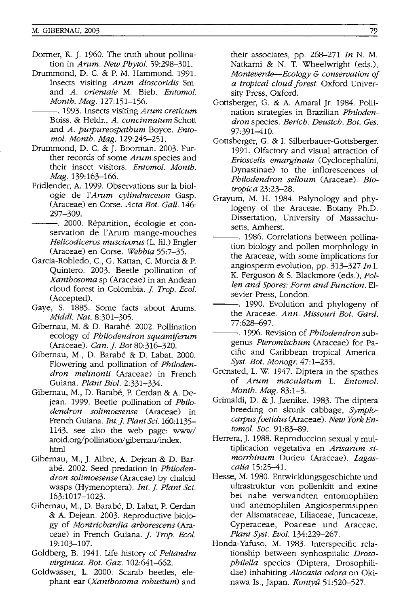- Dormer, K. J. 1960. The truth about pollination in *Arnm. New Phytol. 59:298-301.*
- Drummond, D. C. & P. M. Hammond. 1991. Insects visiting *Arnm dioscoridis* Sm. and *A. orientale* M. Bieb. *Entomol. Month. Mag. 127:151-156.* 
	- ---. 1993. Insects visiting *Arnm creticum*  Boiss. & Heldr., *A. concinnatum* Schott and *A. purpureospathum* Boyce. *Entomol. Month. Mag. 129:245-251.*
- Drummond, D. C. & J. Boorman. 2003. Further records of some *Arnm* species and their insect visitors. *Entomol. Month. Mag. 139:163-166.*
- Fridlender, A. 1999. Observations sur la biologie de *l'Arnm cylindraceum* Gasp. (Araceae) en Corse. *Acta Bot. Gall.* 146: 297-309.
- -. 2000. Répartition, écologie et conservation de l'Arum mange-mouches *Helicodiceros muscivorus* (L. fil.) Engler (Araceae) en Corse. *Webbia 55:7-35.*
- Garcia-Robledo, c., G. Kattan, C. Murcia & P. Quintero. 2003. Beetle pollination of *Xanthosoma* sp (Araceae) in an Andean cloud forest in Colombia.]. *Trop. Beol.*  (Accepted).
- Gaye, S. 1885. Some facts about Arums. *Middl. Nat. 8:301-305.*
- Gibernau, M. & D. Barabé. 2002. Pollination ecology of *Philodendron squamiferum* (Araceae). *Can. j. Bot 80:316-320.*
- Gibernau, M., D. Barabe & D. Labat. 2000. Flowering and pollination of *Philodendron melinonii* (Araceae) in French Guiana. *Plant Bioi. 2:331-334.*
- Gibernau, M., D. Barabé, P. Cerdan & A. Dejean. 1999. Beetle pollination of *Philodendron solimoesense* (Araceae) in French Guiana. *Int.]. Piant Sci. 160:1135-* 1143. see also the web page: www/ aroid.org/pollination/gibernau/index. html
- Gibernau, M., J. Albre, A. Dejean & D. Barabe. 2002. Seed predation in *Philodendron solimoesense* (Araceae) by chalcid wasps (Hymenoptera). *Int. j. Plant Sci.*  163:1017-1023.
- Gibernau, M., D. Barabé, D. Labat, P. Cerdan & A. Dejean. 2003. Reproductive biology of *Montrichardia arborescens* (Araceae) in French Guiana. *j. Trop. Beol.*  19:103-107.
- Goldberg, B. 1941. Life history of *Pettandra virginica. Bot. Gaz. 102:641-662.*
- Goldwasser, L. 2000. Scarab beetles, elephant ear *(Xanthosoma robustum)* and

their associates, pp. 268-271 *In* N. M. Natkarni & N. T. Wheelwright (eds.), *Monteverde-Ecology* & *conservation of a tropical cloud forest.* Oxford University Press, Oxford.

- Gottsberger, G. & A. Amaral Jr. 1984. Pollination strategies in Brazilian *Philodendron* species. *Berich. Deustch. Bot. Ges.*  97:391-410.
- Gottsberger, G. & I. Silberbauer-Gottsberger. 1991. Olfactory and visual attraction of *Erioscelis emarginata* (Cyclocephalini, Dynastinae) to the inflorescences of *Philodendron selloum* (Araceae). *Biotropica 23:23-28.*
- Grayum, M. H. 1984. Palynology and phylogeny of the Araceae. Botany Ph.D. Dissertation, University of Massachusetts, Amherst.
- -. 1986. Correlations between pollination biology and pollen morphology in the Araceae, with some implications for angiosperm evolution, pp. 313-327 *In* I. K. Ferguson & S. Blackmore (eds.), *Pollen and Spores; Form and Function.* Elsevier Press, London.
- -. 1990. Evolution and phylogeny of the Araceae. *Ann. Missouri Bot. Gard.*  77:628-697.
- ---. 1996. Revision of *Philodendron* subgenus *Pteromischum* (Araceae) for Pacific and Caribbean tropical America. *Syst. Bot. Monogr. 47:1-233.*
- Grensted, L. W. 1947. Diptera in the spathes of *Arnm maculatum* L. *Entomot. Month. Mag. 83:1-3.*
- Grimaldi, D. & J. Jaenike. 1983. The diptera breeding on skunk cabbage, *Symplocarpus foetidus* (Araceae). *New York Entomol. Soc. 91:83-89.*
- Herrera, J. 1988. Reproduccion sexual y multiplicacion vegetativa en Arisarum si*morrhinum* Durieu (Araceae). *Lagascalia 15:25-41.*
- Hesse, M. 1980. Entwicklungsgeschichte und ultrastruktur von pollenkitt and exine bei nahe verwandten entomophilen und anemophilen Angiospermsippen der Alismataceae, Liliaceae, Juncaceae, Cyperaceae, Poaceae und Araceae. *Plant Syst.* Evol~ *134:229-267.*
- Honda-Yafuso, M. 1983. Interspecific relationship between synhospitalic *Drosophilella* species (Diptera, Drosophilidae) inhabiting *Alocasia odora* on Okinawa Is., Japan. *Kontyu 51:520-527.*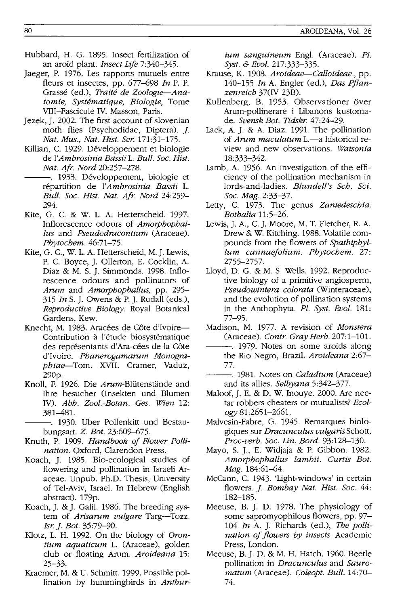- Hubbard, H. G. 1895. Insect fertilization of an aroid plant. *Insect Life 7:340-345.*
- Jaeger, P. 1976. Les rapports mutuels entre fleurs et insectes, pp. 677-698 *In* P. P. Grasse (ed.), *Traite de Zoologie--Anatom ie, Systematique, Biologie,* Tome VIII-Fascicule IV. Masson, Paris.
- Jezek, J. 2002. The first account of slovenian moth flies (Psychodidae, Diptera). *J. Nat. Mus., Nat. Hist. Ser. 171:31-175.*
- Killian, C. 1929. Développement et biologie de *l'Ambrosinia Bassii* 1. *Bull. Soc. Hist. Nat. Afr. Nord 20:257-278.*
- -. 1933. Développement, biologie et répartition de l'Ambrosinia Bassii L. *Bull. Soc. Hist. Nat. Afr. Nord 24:259-* 294.
- Kite, G. C. & W. 1. A. Hetterscheid. 1997. Inflorescence odours of *Amorphophal-Ius* and *Pseudodracontium* (Araceae). *Phytochem. 46:71-75.*
- Kite, G. C., W. 1. A. Hetterscheid, M.J. Lewis, P. C. Boyce, J. Ollerton, E. Cocklin, A. Diaz & M. S. J. Simmonds. 1998. Inflorescence odours and pollinators of *Arum* and *Amorphophallus,* pp. 295- *315 In* S. J. Owens & P. J. Rudall (eds.), *Reproductive Biology.* Royal Botanical Gardens, Kew.
- Knecht, M. 1983. Aracées de Côte d'Ivoire-Contribution à l'étude biosystématique des représentants d'Ara-cées de la Côte d'Ivoire. *Phanerogamarum Monographiae--Tom.* XVII. Cramer, Vaduz, 290p.
- Knoll, F. 1926. Die Arum-Blütenstände and ihre besucher (Insekten und Blumen IV). *Abh. Zool.-Botan. Ges. Wien* 12: 381-481.
- -. 1930. Uber Pollenkitt und Bestaubungsart. Z. *Bot. 23:609-675.*
- Knuth, P. 1909. *Handbook of Flower Pollination.* Oxford, Clarendon Press.
- Koach, J. 1985. Bio-ecological studies of flowering and pollination in Israeli Araceae. Unpub. Ph.D. Thesis, University of Tel-Aviv, Israel. In Hebrew (English abstract). 179p.
- Koach, J. & J. Galil. 1986. The breeding system of *Arisarum vulgare* Targ-Tozz. *Isr. J. Bot. 35:79-90.*
- Klotz, L. H. 1992. On the biology of *Orontium aquaticum* 1. (Araceae), golden club or floating Arum. *Aroideana* 15: 25-33.
- Kraemer, M. & U. Schmitt. 1999. Possible pollination by hummingbirds in *Anthur-*

*ium sanguineum* Engl. (Araceae). *Pl. Syst.* & *Evol. 217:333-335.* 

- Krause, K. 1908. *Aroideae--Calloideae.,* pp. *140-155 In* A. Engler (ed.), *Das Pflanzen reich* 37(IV 23B).
- Kullenberg, B. 1953. Observationer över Arum-pollinerare i Libanons kustomade. *Svensk Bot. Tidskr. 47:24-29.*
- Lack, A. J. & A. Diaz. 1991. The pollination of *Arum maculatum* L.-a historical review and new observations. *Watsonia*  18:333-342.
- Lamb, A. 1956. An investigation of the efficiency of the pollination mechanism in lords-and-ladies. *Blundell's Sch. Sci. Soc. Mag. 2:33-37.*
- Letty, C. 1973. The genus *Zantedeschia. Bothalia 11:5-26.*
- Lewis, J. A., C. J. Moore, M. T. Fletcher, R. A. Drew & W. Kitching. 1988. Volatile compounds from the flowers of *Spathiphyllum cannaefolium. Phytochem. 27:*  2755-2757.
- Lloyd, D. G. & M. S. Wells. 1992. Reproductive biology of a primitive angiosperm, *Pseudowintera colorata* (Winteraceae), and the evolution of pollination systems in the Anthophyta. *Pl. Syst. Evol. 181:*  77-95.
- Madison, M. 1977. A revision of *Monstera*  (Araceae). *Contr. Gray Herb. 207:1-101.*
- $-$ . 1979. Notes on some aroids along the Rio Negro, Brazil. *Aroideana 2:67-* 77.
- ---. 1981. Notes on *Caladium* (Araceae) and its allies. *Selbyana 5:342-377.*
- Maloof, J. E. & D. W. Inouye. 2000. Are nectar robbers cheaters or mutualists? *Ecology 81:2651-2661.*
- Malvesin-Fabre, G. 1945. Remarques biologiques sur *Dracunculus vulgaris* Schott. *Proc-verb. Soc. Lin. Bord. 93:128--130.*
- Mayo, S. ]., E. Widjaja & P. Gibbon. 1982. *Amorphophallus lambii. Curtis Bot. Mag. 184:61-64.*
- McCann, C. 1943. 'Light-windows' in certain flowers. ]. *Bombay Nat. Hist. Soc. 44:*  182-185.
- Meeuse, B. J. D. 1978. The physiology of some sapromyophilous flowers, pp. 97- *104 In* A. J. Richards (ed.), The *pollination of flowers by insects.* Academic Press, London.
- Meeuse, B. J. D. & M. H. Hatch. 1960. Beetle pollination in *Dracunculus* and *Sauromatum* (Araceae). *Coleopt. Bull. 14:70-* 74.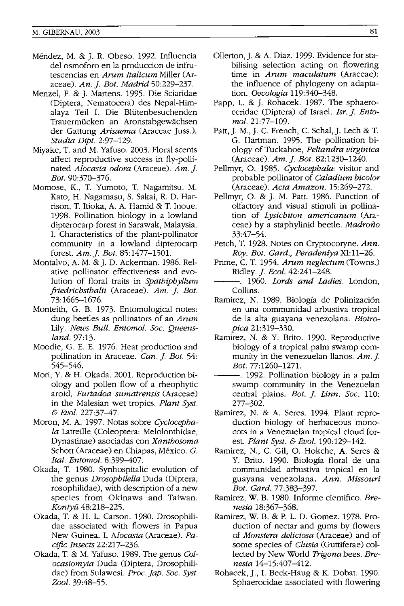- Mendez, M. & J. R. Obeso. 1992. Influencia del osmoforo en la produccion de infrutescencias en *Arum Italicum* Miller (Araceae). *An.]. Bot. Madrid 50:229-237.*
- Menzel, F. & J. Martens. 1995. Die Sciaridae (Diptera, Nematocera) des Nepal-Himalaya Teil I. Die Blutenbesuchenden Trauermücken an Aronstabgewächsen der Gattung *Arisaema* (Araceae Juss.). *Studia Dipt. 2:97-129.*
- Miyake, T. and M. Yafuso. 2003. Floral scents affect reproductive success in fly-pollinated *Alocasia odora* (Araceae). *Am.]. Bot. 90:370-376.*
- Momose, K., T. Yumoto, T. Nagamitsu, M. Kato, H. Nagamasu, S. Sakai, R. D. Harrison, T. Itioka, A. A. Hamid & T. Inoue. 1998. Pollination biology in a lowland dipterocarp forest in Sarawak, Malaysia. I. Characteristics of the plant-pollinator community in a lowland dipterocarp forest. *Am.]. Bot. 85:1477-1501.*
- Montalvo, A. M. & J. D. Ackerman. 1986. Relative pollinator effectiveness and evolution of floral traits in *Spathiphyllum friedrichsthalii* (Araceae). *Am.* ]. *Bot.*  73:1665-1676.
- Monteith, G. B. 1973. Entomological notes: dung beetles as pollinators of an *Arum*  Lily. *News Bull. Entomot. Soc. Queensland.* 97:13.
- Moodie, G. E. E. 1976. Heat production and pollination in Araceae. *Can.]. Bot.* 54: 545-546.
- Mori, Y. & H. Okada. 2001. Reproduction biology and pollen flow of a rheophytic aroid, *Furtadoa sumatrensis* (Araceae) in the Malesian wet tropics. *Plant Syst.*   $&$  *Evol.* 227:37-47.
- Moron, M. A. 1997. Notas sobre *Cyclocephala* Latreille (Coleoptera: Melolonthidae, Dynastinae) asociadas con *Xanthosoma*  Schott (Araceae) en Chiapas, México. G. *Ital. Entomot. 8:399--407.*
- Okada, T. 1980. Synhospitalic evolution of the genus *Drosophilella* Duda (Diptera, rosophilidae), with description of a new species from Okinawa and Taiwan. *Kontyu 48:218--225.*
- Okada, T. & H. L. Carson. 1980. Drosophilidae associated with flowers in Papua New Guinea. I. *Alocasia* (Araceae). *Pacific Insects 22:217-236.*
- Okada, T. & M. Yafuso. 1989. The genus *Colocasiomyia* Duda (Diptera, Drosophilidae) from Sulawesi. *Proc.jap. Soc. Syst. Zool. 39:48--55.*
- Ollerton, J. & A. Diaz. 1999. Evidence for stabilising selection acting on flowering time in *Arum maculatum* (Araceae): the influence of phylogeny on adaptation. *Oecologia 119:340-348.*
- Papp, L. & J. Rohacek. 1987. The sphaeroceridae (Diptera) of Israel. *Isr. j. Entomol. 21:77-109.*
- Patt, J. M., J. C. French, C. Schal, J. Lech & T. G. Hartman. 1995. The pollination biology of Tuckahoe, *Peltandra virginica*  (Araceae). *Am. j. Bot.* 82:1230-1240.
- Pellmyr, O. 1985. *Cyclocephala:* visitor and probable pollinator of *Caladium bicolor*  (Araceae). *Acta Amazon. 15:269-272.*
- Pellmyr, O. & J. M. Patt. 1986. Function of olfactory and visual stimuli in pollination of *Lysichiton americanum* (Araceae) by a staphylinid beetle. *Madroiio*  33:47-54.
- Petch, T. 1928. Notes on Cryptocoryne. *Ann. Roy. Bot. Gard., Peradeniya* XI:11-26.
- Prime, C. T. 1954. *Arum neglectum* (Towns.) Ridley. ]. *Ecol. 42:241-248.*
- ---. 1960. *Lords and Ladies.* London, Collins.
- Ramirez, N. 1989. Biología de Polinización en una communidad arbustiva tropical de la alta guayana venezolana. *Biotropica 21:319-330.*
- Ramirez, N. & Y. Brito. 1990. Reproductive biology of a tropical palm swamp community in the venezuelan llanos. *Am.]. Bot.* 77:1260-1271.
- ---. 1992. Pollination biology in a palm swamp community in the Venezuelan central plains. *Bot. j. Linn. Soc. 110:*  277-302.
- Ramirez, N. & A. Seres. 1994. Plant reproduction biology of herbaceous monocots in a Venezuelan tropical cloud forest. *Plant Syst.* & *Eool. 190:129-142.*
- Ramirez, N., C. Gil, O. Hokche, A. Seres & Y. Brito. 1990. Biología floral de una communidad arbustiva tropical en la guayana venezolana. *Ann. Missouri Bot. Gard.77:383-397.*
- Ramirez, W. B. 1980. Informe cientifico. *Brenesia 18:367-368.*
- Ramirez, W. B. & P. L. D. Gomez. 1978. Production of nectar and gums by flowers of *Monstera deliciosa* (Araceae) and of some species of *Clusia* (Guttiferae) collected by New World *Trigona* bees. *Brenesia 14-15:407--412.*
- Rohacek, J., I. Beck-Haug & K. Dobat. 1990. Sphaerocidae associated with flowering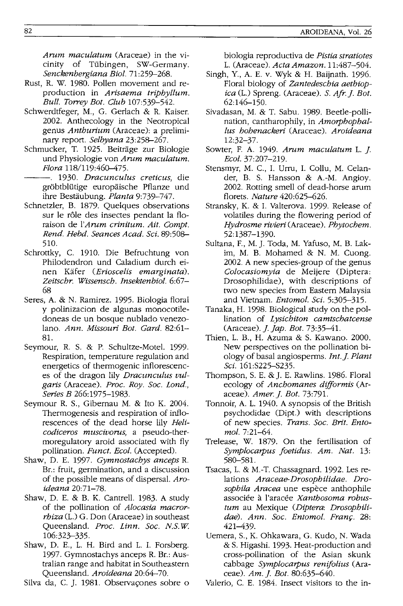*Arum maculatum* (Araceae) in the vicinity of Tübingen, SW-Germany. *Senckenbergiana Bioi. 71:259-268.* 

- Rust, R. W. 1980. Pollen movement and reproduction in *Arisaema triphyllum. Bull. Torrey Bot. Club 107:539-542.*
- Schwerdtfeger, M., G. Gerlach & R. Kaiser. 2002. Anthecology in the Neotropical genus *Anthurium* (Araceae): a preliminary report. *Selbyana 23:258-267.*
- Schmucker, T. 1925. Beitrage zur Biologie und Physiologie von *Arum maculatum. Flora 118/119:460-475.*
- ---. 1930. *Dracunculus creticus,* die gröbtblütige europäische Pflanze und ihre Bestaubung. *Planta 9:739-747.*
- Schnetzler, B. 1879. Ouelques observations sur le rôle des insectes pendant la floraison de l'Arum crinitum. Ait. Compt. *Rend. Hebd. Seances Acad. Sci.* 89:508- 510.
- Schrottky, C. 1910. Die Befruchtung von Philodendron und Caladium durch einen Kafer *(Erioscelis emarginata). Zeitschr. Wissensch. Insektenbiol. 6:67-* 68
- Seres, A. & N. Ramirez. 1995. Biologia floral y polinizacion de algunas monocotiledoneas de un bosque nublado venezolano. *Ann. Missouri Bot. Card. 82:61-* 81.
- Seymour, R. S. & P. Schultze-Motel. 1999. Respiration, temperature regulation and energetics of thermogenic inflorescences of the dragon lily *Dracunculus vulgaris* (Araceae). *Proc. Roy. Soc. Lond., Series B 266:1975-1983.*
- Seymour R. S., Gibernau M. & Ito K. 2004. Thermogenesis and respiration of inflorescences of the dead horse lily *Helicodiceros muscivorus,* a pseudo-thermoregulatory aroid associated with fly pollination. **Funct.** Ecol. (Accepted).
- Shaw, D. E. 1997. *Cymnostachys anceps* R. Br.: fruit, germination, and a discussion of the possible means of dispersal. *Aroideana 20:71-78.*
- Shaw, D. E. & B. K. Cantrell. 1983. A study of the pollination of *Alocasia macrorrhiza* (1.) G. Don (Araceae) in southeast Queensland. *Proc. Linn. Soc. N.S. W*  106:323-335.
- Shaw, D. E., L. H. Bird and L. 1. Forsberg. 1997. Gymnostachys anceps R. Br.: Australian range and habitat in Southeastern Queensland. *Aroideana 20:64-70.*

Silva da, C. J. 1981. Observaçones sobre o

biologia reproductiva de *Pistia stratiotes*  L. (Araceae). *Acta Amazon. 11:487-504.* 

- Singh, Y., A. E. v. Wyk & H. Baijnath. 1996. Floral biology of *Zantedeschia aethiopica* (L.) Spreng. (Araceae). S. *Afr.]. Bot.*  62:146-150.
- Sivadasan, M. & T. Sabu. 1989. Beetle-pollination, cantharophily, in *Amorphophal-Ius hohenackeri* (Araceae). *Aroideana*  12:32-37.
- Sowter, F. A. 1949. Arum maculatum L. J. *Eeal. 37:207-219.*
- Stensmyr, M. C, 1. Urru, 1. Collu, M. Celander, B. S. Hansson & A.-M. Angioy. 2002. Rotting smell of dead-horse arum florets. *Nature 420:625-626.*
- Stransky, K. & 1. Valterova. 1999. Release of volatiles during the flowering period of *Hydrosme rivieri* (Araceae). *Phytochem.*  52: 1387-1390.
- Sultana, F, M. J. Toda, M. Yafuso, M. B. Lakim, M. B. Mohamed & N. M. Cuong. 2002. A new species-group of the genus *Colocasiomyia* de Meijere (Diptera: Drosophilidae), with descriptions of two new species from Eastern Malaysia and Vietnam. *Entomol. Sci. 5:305-315.*
- Tanaka, H. 1998. Biological study on the pollination of *Lysichiton camtschatcense*  (Araceae).]. *jap. Bot. 73:35-41.*
- Thien, L. B., H. Azuma & S. Kawano. 2000. New perspectives on the pollination biology of basal angiosperms. *Int.]. Plant Sci.* 161:S225-S235.
- Thompson, S. E. & J. E. Rawlins. 1986. Floral ecology of *Anchomanes difformis* (Araceae). *Amer.]. Bot. 73:791.*
- Tonnoir, A. L. 1940. A synopsis of the British psychodidae (Dipt.) with descriptions of new species. *Trans. Soc. Brit. Entomol. 7:21-64.*
- Trelease, W. 1879. On the fertilisation of *Symplocarpus foetidus. Am. Nat.* 13: 580-581.
- Tsacas, L. & M.-T. Chassagnard. 1992. Les relations *Araceae-Drosophilidae. Drosophila Aracea* une espece anthophile associée à l'aracée *Xanthosoma robustum* au Mexique *(Diptera: Drosophili*dae). Ann. Soc. Entomol. Franç. 28: 421-439.
- Uemera, S., K. Ohkawara, G. Kudo, N. Wada & S. Higashi. 1993. Heat-production and cross-pollination of the Asian skunk cabbage *Symplocarpus renifolius* (Araceae). *Am.]. Bot. 80:635-640.*

Valerio, C E. 1984. Insect visitors to the in-

82